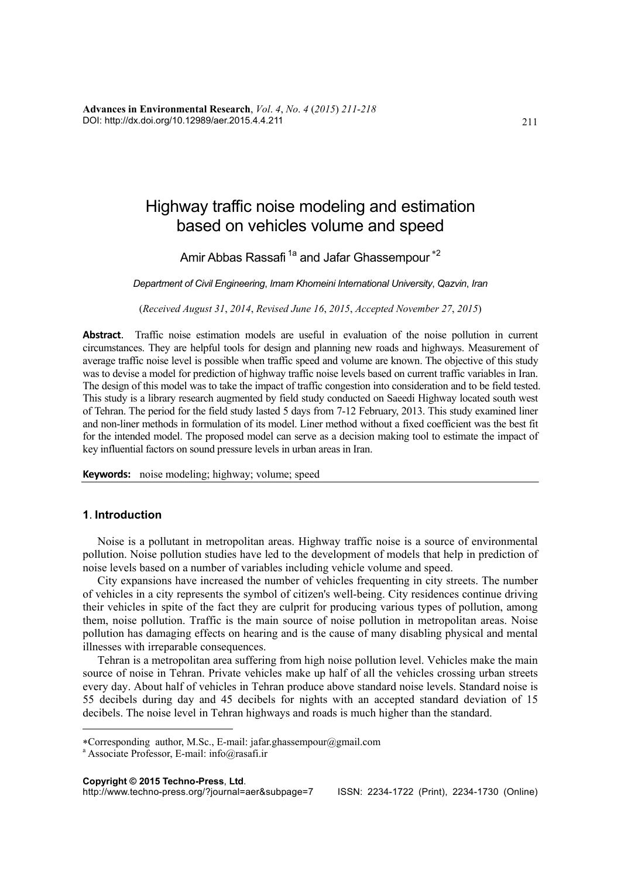**Advances in Environmental Research**, *Vol*. *4*, *No*. *4* (*2015*) *211*-*218*  DOI: http://dx.doi.org/10.12989/aer.2015.4.4.211

# Highway traffic noise modeling and estimation based on vehicles volume and speed

Amir Abbas Rassafi<sup>1a</sup> and Jafar Ghassempour<sup>\*2</sup>

*Department of Civil Engineering*, *Imam Khomeini International University*, *Qazvin*, *Iran* 

(*Received August 31*, *2014*, *Revised June 16*, *2015*, *Accepted November 27*, *2015*)

**Abstract**. Traffic noise estimation models are useful in evaluation of the noise pollution in current circumstances. They are helpful tools for design and planning new roads and highways. Measurement of average traffic noise level is possible when traffic speed and volume are known. The objective of this study was to devise a model for prediction of highway traffic noise levels based on current traffic variables in Iran. The design of this model was to take the impact of traffic congestion into consideration and to be field tested. This study is a library research augmented by field study conducted on Saeedi Highway located south west of Tehran. The period for the field study lasted 5 days from 7-12 February, 2013. This study examined liner and non-liner methods in formulation of its model. Liner method without a fixed coefficient was the best fit for the intended model. The proposed model can serve as a decision making tool to estimate the impact of key influential factors on sound pressure levels in urban areas in Iran.

**Keywords:** noise modeling; highway; volume; speed

#### **1**. **Introduction**

 $\overline{a}$ 

Noise is a pollutant in metropolitan areas. Highway traffic noise is a source of environmental pollution. Noise pollution studies have led to the development of models that help in prediction of noise levels based on a number of variables including vehicle volume and speed.

City expansions have increased the number of vehicles frequenting in city streets. The number of vehicles in a city represents the symbol of citizen's well-being. City residences continue driving their vehicles in spite of the fact they are culprit for producing various types of pollution, among them, noise pollution. Traffic is the main source of noise pollution in metropolitan areas. Noise pollution has damaging effects on hearing and is the cause of many disabling physical and mental illnesses with irreparable consequences.

Tehran is a metropolitan area suffering from high noise pollution level. Vehicles make the main source of noise in Tehran. Private vehicles make up half of all the vehicles crossing urban streets every day. About half of vehicles in Tehran produce above standard noise levels. Standard noise is 55 decibels during day and 45 decibels for nights with an accepted standard deviation of 15 decibels. The noise level in Tehran highways and roads is much higher than the standard.

Corresponding author, M.Sc., E-mail: jafar.ghassempour@gmail.com

a Associate Professor, E-mail: info@rasafi.ir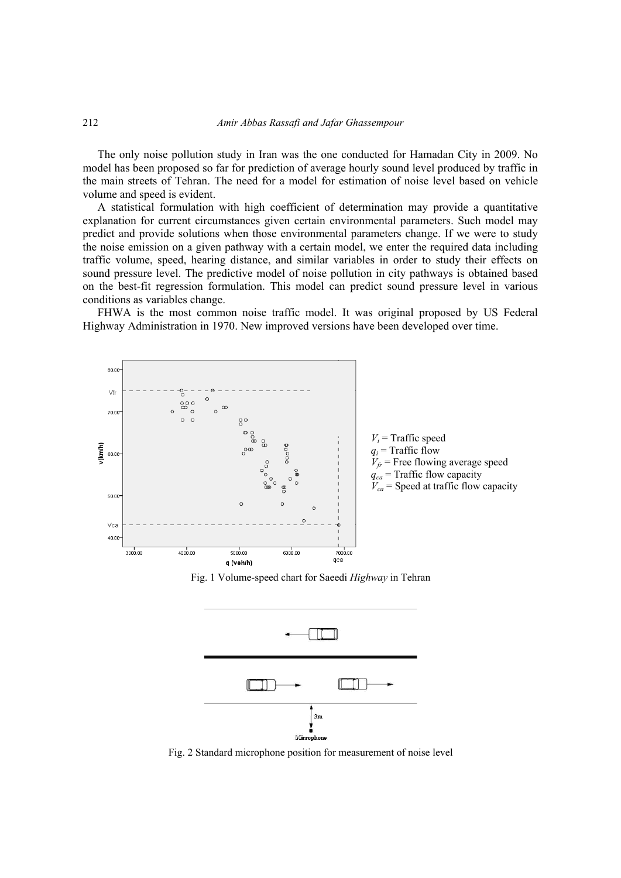The only noise pollution study in Iran was the one conducted for Hamadan City in 2009. No model has been proposed so far for prediction of average hourly sound level produced by traffic in the main streets of Tehran. The need for a model for estimation of noise level based on vehicle volume and speed is evident.

A statistical formulation with high coefficient of determination may provide a quantitative explanation for current circumstances given certain environmental parameters. Such model may predict and provide solutions when those environmental parameters change. If we were to study the noise emission on a given pathway with a certain model, we enter the required data including traffic volume, speed, hearing distance, and similar variables in order to study their effects on sound pressure level. The predictive model of noise pollution in city pathways is obtained based on the best-fit regression formulation. This model can predict sound pressure level in various conditions as variables change.

FHWA is the most common noise traffic model. It was original proposed by US Federal Highway Administration in 1970. New improved versions have been developed over time.



Fig. 1 Volume-speed chart for Saeedi *Highway* in Tehran



Fig. 2 Standard microphone position for measurement of noise level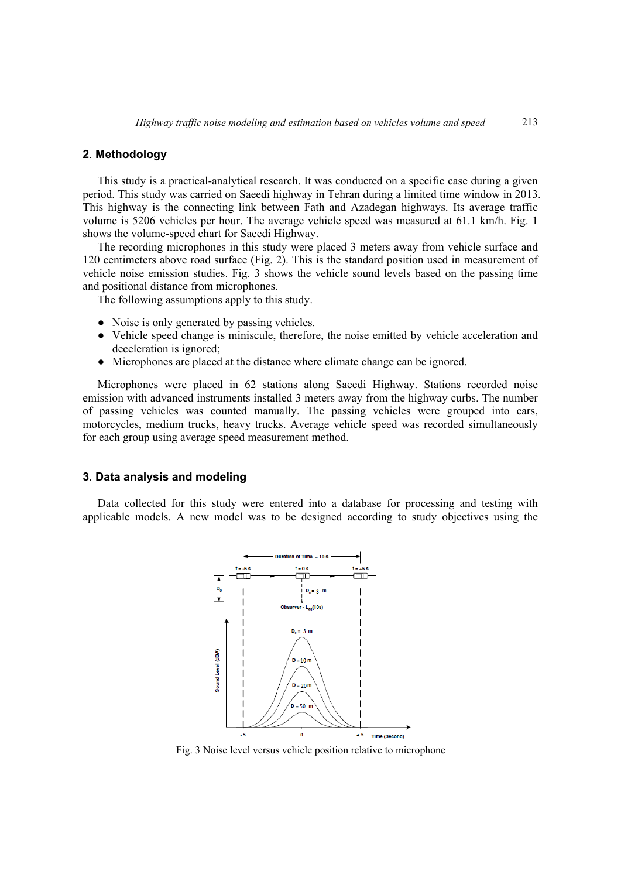# **2**. **Methodology**

This study is a practical-analytical research. It was conducted on a specific case during a given period. This study was carried on Saeedi highway in Tehran during a limited time window in 2013. This highway is the connecting link between Fath and Azadegan highways. Its average traffic volume is 5206 vehicles per hour. The average vehicle speed was measured at 61.1 km/h. Fig. 1 shows the volume-speed chart for Saeedi Highway.

The recording microphones in this study were placed 3 meters away from vehicle surface and 120 centimeters above road surface (Fig. 2). This is the standard position used in measurement of vehicle noise emission studies. Fig. 3 shows the vehicle sound levels based on the passing time and positional distance from microphones.

The following assumptions apply to this study.

- Noise is only generated by passing vehicles.
- Vehicle speed change is miniscule, therefore, the noise emitted by vehicle acceleration and deceleration is ignored;
- Microphones are placed at the distance where climate change can be ignored.

Microphones were placed in 62 stations along Saeedi Highway. Stations recorded noise emission with advanced instruments installed 3 meters away from the highway curbs. The number of passing vehicles was counted manually. The passing vehicles were grouped into cars, motorcycles, medium trucks, heavy trucks. Average vehicle speed was recorded simultaneously for each group using average speed measurement method.

### **3**. **Data analysis and modeling**

Data collected for this study were entered into a database for processing and testing with applicable models. A new model was to be designed according to study objectives using the



Fig. 3 Noise level versus vehicle position relative to microphone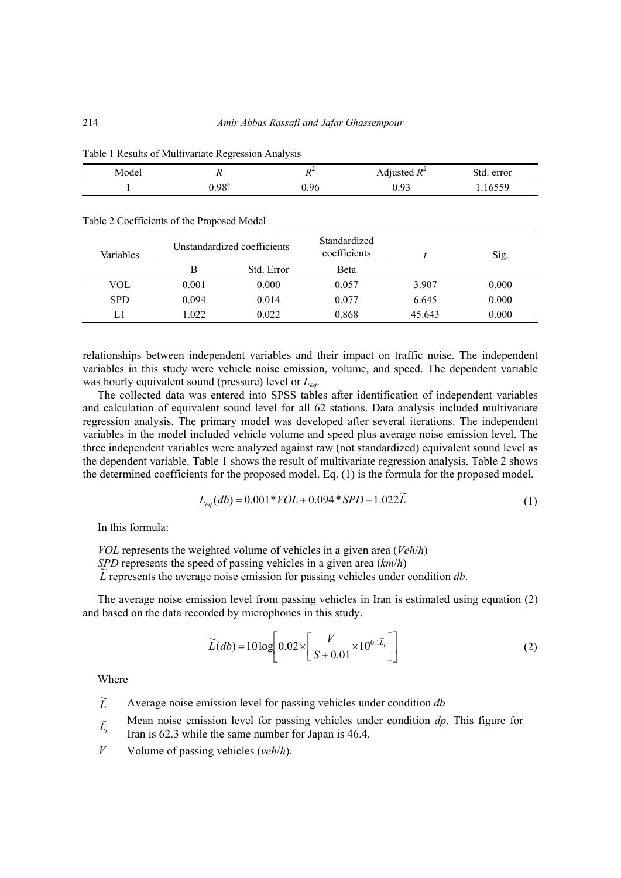|       | ັ                 |      |                       |                         |
|-------|-------------------|------|-----------------------|-------------------------|
| Model | $\mathbf{r}$      | n.   | Adjusted $R^2$        | error<br>. std.         |
|       | J.98 <sup>a</sup> | U.YO | በ 03<br>v. <i>) J</i> | $\sim$<br><b>' UJJ)</b> |

| Variables  |       | Unstandardized coefficients |       |        | Sig.  |  |
|------------|-------|-----------------------------|-------|--------|-------|--|
|            | В     | Std. Error                  | Beta  |        |       |  |
| VOL        | 0.001 | 0.000                       | 0.057 | 3.907  | 0.000 |  |
| <b>SPD</b> | 0.094 | 0.014                       | 0.077 | 6.645  | 0.000 |  |
| L1         | 1.022 | 0.022                       | 0.868 | 45.643 | 0.000 |  |

Table 1 Results of Multivariate Regression Analysis

Table 2 Coefficients of the Proposed Model

relationships between independent variables and their impact on traffic noise. The independent variables in this study were vehicle noise emission, volume, and speed. The dependent variable was hourly equivalent sound (pressure) level or *Leq*.

The collected data was entered into SPSS tables after identification of independent variables and calculation of equivalent sound level for all 62 stations. Data analysis included multivariate regression analysis. The primary model was developed after several iterations. The independent variables in the model included vehicle volume and speed plus average noise emission level. The three independent variables were analyzed against raw (not standardized) equivalent sound level as the dependent variable. Table 1 shows the result of multivariate regression analysis. Table 2 shows the determined coefficients for the proposed model. Eq. (1) is the formula for the proposed model.

$$
L_{eq}(db) = 0.001*VOL + 0.094*SPD + 1.022\widetilde{L}
$$
\n(1)

In this formula:

*VOL* represents the weighted volume of vehicles in a given area (*Veh*/*h*)

*SPD* represents the speed of passing vehicles in a given area (*km*/*h*)

 $\overline{\mathcal{L}}$  represents the speed of passing vehicles in a given area ( $km/n$ )<br> $\overline{\mathcal{L}}$  represents the average noise emission for passing vehicles under condition *db*.

The average noise emission level from passing vehicles in Iran is estimated using equation (2) and based on the data recorded by microphones in this study.

$$
\widetilde{L}(db) = 10 \log \left[ 0.02 \times \left[ \frac{V}{S + 0.01} \times 10^{0.1 \widetilde{L}_i} \right] \right]
$$
\n(2)

Where

 $\widetilde{L}$ <sup>~</sup> Average noise emission level for passing vehicles under condition *db* 

- *Li* Mean noise emission level for passing vehicles under condition *dp*. This figure for
- Iran is 62.3 while the same number for Japan is 46.4.
- *V* Volume of passing vehicles (*veh*/*h*).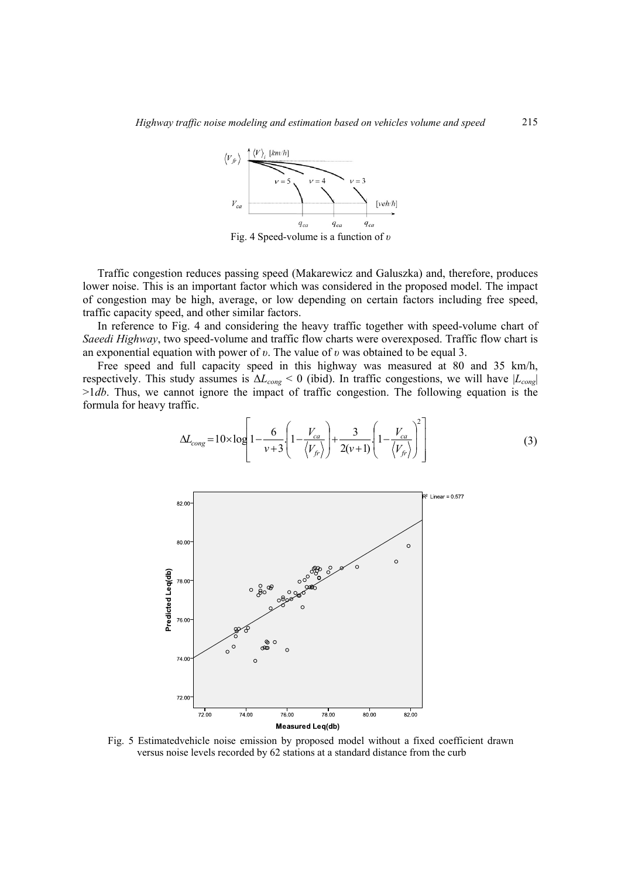

Fig. 4 Speed-volume is a function of *υ*

Traffic congestion reduces passing speed (Makarewicz and Galuszka) and, therefore, produces lower noise. This is an important factor which was considered in the proposed model. The impact of congestion may be high, average, or low depending on certain factors including free speed, traffic capacity speed, and other similar factors.

In reference to Fig. 4 and considering the heavy traffic together with speed-volume chart of *Saeedi Highway*, two speed-volume and traffic flow charts were overexposed. Traffic flow chart is an exponential equation with power of *υ*. The value of *υ* was obtained to be equal 3.

Free speed and full capacity speed in this highway was measured at 80 and 35 km/h, respectively. This study assumes is  $\Delta L_{cong}$  < 0 (ibid). In traffic congestions, we will have  $|L_{cong}|$ >1*db*. Thus, we cannot ignore the impact of traffic congestion. The following equation is the formula for heavy traffic.

$$
\Delta L_{cong} = 10 \times \log \left[ 1 - \frac{6}{v+3} \left( 1 - \frac{V_{ca}}{\langle V_{fr} \rangle} \right) + \frac{3}{2(v+1)} \left( 1 - \frac{V_{ca}}{\langle V_{fr} \rangle} \right)^2 \right]
$$
(3)



Fig. 5 Estimatedvehicle noise emission by proposed model without a fixed coefficient drawn versus noise levels recorded by 62 stations at a standard distance from the curb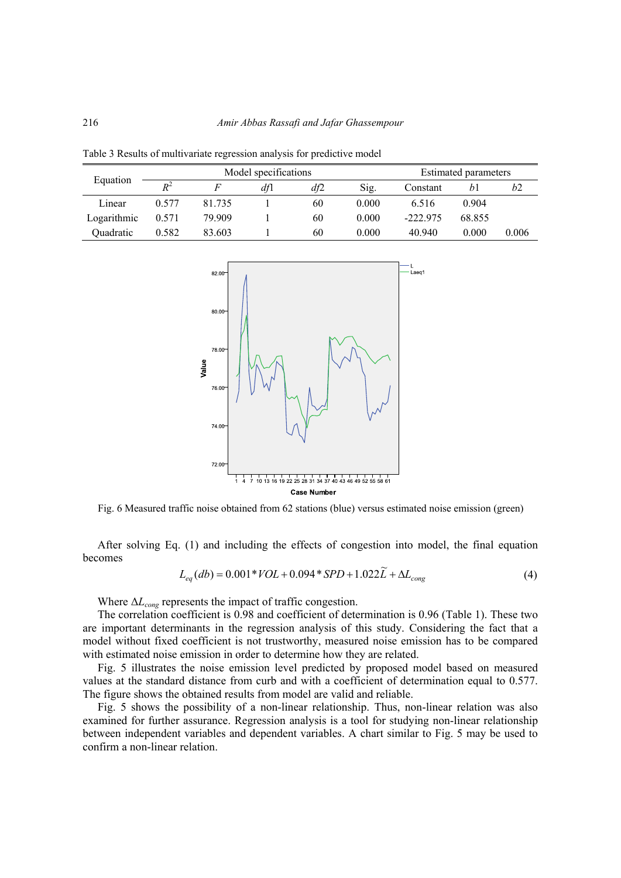Table 3 Results of multivariate regression analysis for predictive model

| Equation    | Model specifications |        |     |     | <b>Estimated parameters</b> |            |        |       |
|-------------|----------------------|--------|-----|-----|-----------------------------|------------|--------|-------|
|             | $R^2$                |        | df1 | df2 | Sig.                        | Constant   | bl     | b2    |
| Linear      | 0.577                | 81.735 |     | 60  | 0.000                       | 6.516      | 0.904  |       |
| Logarithmic | 0.571                | 79.909 |     | 60  | 0.000                       | $-222.975$ | 68.855 |       |
| Quadratic   | 0.582                | 83.603 |     | 60  | 0.000                       | 40.940     | 0.000  | 0.006 |



Fig. 6 Measured traffic noise obtained from 62 stations (blue) versus estimated noise emission (green)

After solving Eq. (1) and including the effects of congestion into model, the final equation becomes

$$
L_{eq}(db) = 0.001*VOL + 0.094*SPD + 1.022\widetilde{L} + \Delta L_{cong}
$$
\n(4)

Where  $\Delta L_{\text{cong}}$  represents the impact of traffic congestion.

The correlation coefficient is 0.98 and coefficient of determination is 0.96 (Table 1). These two are important determinants in the regression analysis of this study. Considering the fact that a model without fixed coefficient is not trustworthy, measured noise emission has to be compared with estimated noise emission in order to determine how they are related.

Fig. 5 illustrates the noise emission level predicted by proposed model based on measured values at the standard distance from curb and with a coefficient of determination equal to 0.577. The figure shows the obtained results from model are valid and reliable.

Fig. 5 shows the possibility of a non-linear relationship. Thus, non-linear relation was also examined for further assurance. Regression analysis is a tool for studying non-linear relationship between independent variables and dependent variables. A chart similar to Fig. 5 may be used to confirm a non-linear relation.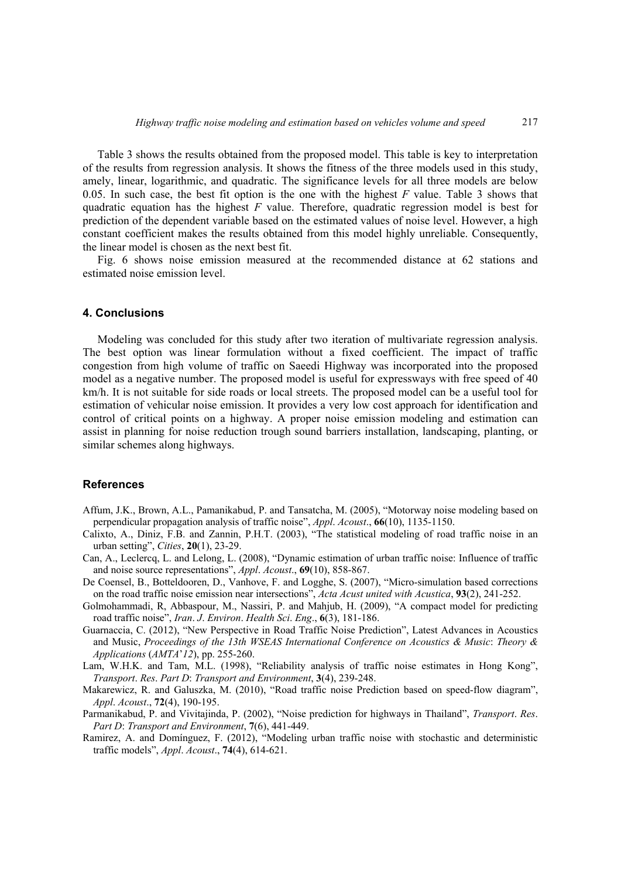Table 3 shows the results obtained from the proposed model. This table is key to interpretation of the results from regression analysis. It shows the fitness of the three models used in this study, amely, linear, logarithmic, and quadratic. The significance levels for all three models are below 0.05. In such case, the best fit option is the one with the highest *F* value. Table 3 shows that quadratic equation has the highest *F* value. Therefore, quadratic regression model is best for prediction of the dependent variable based on the estimated values of noise level. However, a high constant coefficient makes the results obtained from this model highly unreliable. Consequently, the linear model is chosen as the next best fit.

Fig. 6 shows noise emission measured at the recommended distance at 62 stations and estimated noise emission level.

## **4. Conclusions**

Modeling was concluded for this study after two iteration of multivariate regression analysis. The best option was linear formulation without a fixed coefficient. The impact of traffic congestion from high volume of traffic on Saeedi Highway was incorporated into the proposed model as a negative number. The proposed model is useful for expressways with free speed of 40 km/h. It is not suitable for side roads or local streets. The proposed model can be a useful tool for estimation of vehicular noise emission. It provides a very low cost approach for identification and control of critical points on a highway. A proper noise emission modeling and estimation can assist in planning for noise reduction trough sound barriers installation, landscaping, planting, or similar schemes along highways.

### **References**

- Affum, J.K., Brown, A.L., Pamanikabud, P. and Tansatcha, M. (2005), "Motorway noise modeling based on perpendicular propagation analysis of traffic noise", *Appl*. *Acoust*., **66**(10), 1135-1150.
- Calixto, A., Diniz, F.B. and Zannin, P.H.T. (2003), "The statistical modeling of road traffic noise in an urban setting", *Cities*, **20**(1), 23-29.
- Can, A., Leclercq, L. and Lelong, L. (2008), "Dynamic estimation of urban traffic noise: Influence of traffic and noise source representations", *Appl*. *Acoust*., **69**(10), 858-867.
- De Coensel, B., Botteldooren, D., Vanhove, F. and Logghe, S. (2007), "Micro-simulation based corrections on the road traffic noise emission near intersections", *Acta Acust united with Acustica*, **93**(2), 241-252.
- Golmohammadi, R, Abbaspour, M., Nassiri, P. and Mahjub, H. (2009), "A compact model for predicting road traffic noise", *Iran*. *J*. *Environ*. *Health Sci*. *Eng*., **6**(3), 181-186.
- Guarnaccia, C. (2012), "New Perspective in Road Traffic Noise Prediction", Latest Advances in Acoustics and Music, *Proceedings of the 13th WSEAS International Conference on Acoustics & Music*: *Theory & Applications* (*AMTA*'*12*), pp. 255-260.
- Lam, W.H.K. and Tam, M.L. (1998), "Reliability analysis of traffic noise estimates in Hong Kong", *Transport*. *Res*. *Part D*: *Transport and Environment*, **3**(4), 239-248.
- Makarewicz, R. and Galuszka, M. (2010), "Road traffic noise Prediction based on speed-flow diagram", *Appl*. *Acoust*., **72**(4), 190-195.
- Parmanikabud, P. and Vivitajinda, P. (2002), "Noise prediction for highways in Thailand", *Transport*. *Res*. *Part D*: *Transport and Environment*, **7**(6), 441-449.
- Ramirez, A. and Domínguez, F. (2012), "Modeling urban traffic noise with stochastic and deterministic traffic models", *Appl*. *Acoust*., **74**(4), 614-621.